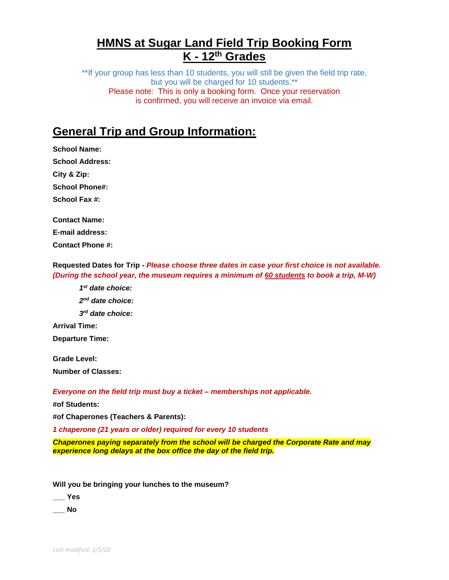# **HMNS at Sugar Land Field Trip Booking Form K - 12th Grades**

\*\*If your group has less than 10 students, you will still be given the field trip rate, but you will be charged for 10 students.\*\* Please note: This is only a booking form. Once your reservation is confirmed, you will receive an invoice via email.

# **General Trip and Group Information:**

**School Name: School Address: City & Zip: School Phone#: School Fax #: Contact Name: E-mail address:** 

**Contact Phone #:** 

**Requested Dates for Trip -** *Please choose three dates in case your first choice is not available. (During the school year, the museum requires a minimum of 60 students to book a trip, M-W)*

*1 st date choice:* 

*2 nd date choice:*

*3 rd date choice:*

**Arrival Time: Departure Time:**

**Grade Level: Number of Classes:** 

*Everyone on the field trip must buy a ticket – memberships not applicable.*

**#of Students:** 

**#of Chaperones (Teachers & Parents):**

*1 chaperone (21 years or older) required for every 10 students* 

*Chaperones paying separately from the school will be charged the Corporate Rate and may experience long delays at the box office the day of the field trip.*

**Will you be bringing your lunches to the museum?**

**\_\_\_ Yes** 

**\_\_\_ No**